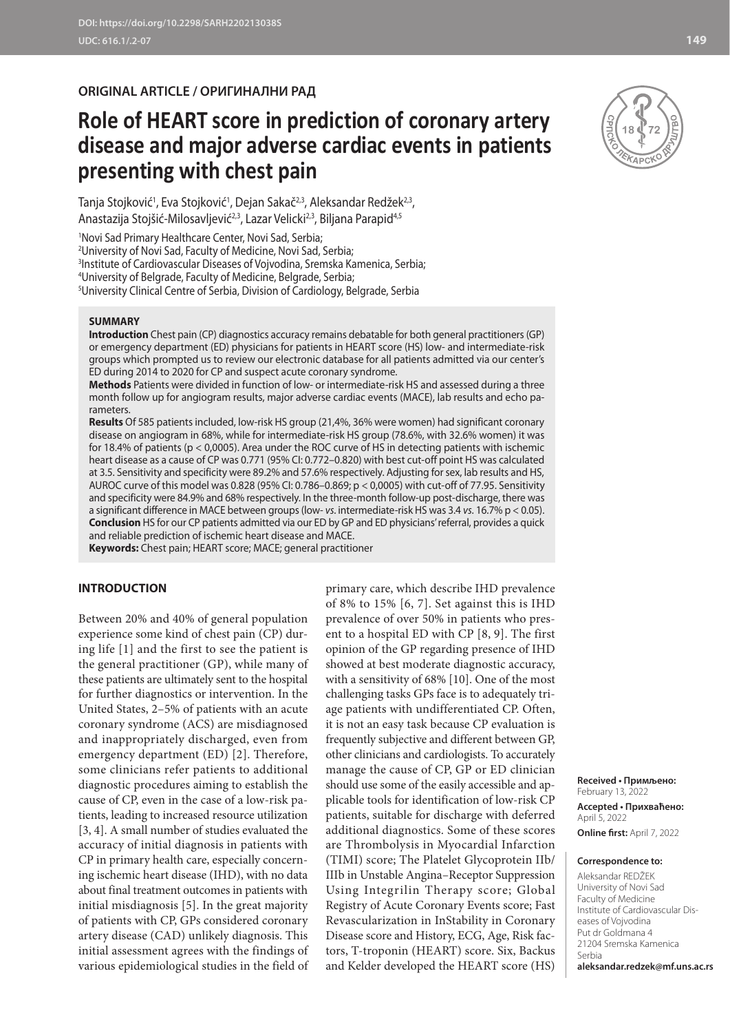# **ORIGINAL ARTICLE / ОРИГИНАЛНИ РАД**

# **Role of HEART score in prediction of coronary artery disease and major adverse cardiac events in patients presenting with chest pain**

Tanja Stojković<sup>1</sup>, Eva Stojković<sup>1</sup>, Dejan Sakač<sup>2,3</sup>, Aleksandar Redžek<sup>2,3</sup>, Anastazija Stojšić-Milosavljević<sup>2,3</sup>, Lazar Velicki<sup>2,3</sup>, Biljana Parapid<sup>4,5</sup>

1 Novi Sad Primary Healthcare Center, Novi Sad, Serbia;

2 University of Novi Sad, Faculty of Medicine, Novi Sad, Serbia;

3 Institute of Cardiovascular Diseases of Vojvodina, Sremska Kamenica, Serbia;

4 University of Belgrade, Faculty of Medicine, Belgrade, Serbia;

5 University Clinical Centre of Serbia, Division of Cardiology, Belgrade, Serbia

#### **SUMMARY**

**Introduction** Chest pain (CP) diagnostics accuracy remains debatable for both general practitioners (GP) or emergency department (ED) physicians for patients in HEART score (HS) low- and intermediate-risk groups which prompted us to review our electronic database for all patients admitted via our center's ED during 2014 to 2020 for CP and suspect acute coronary syndrome.

**Methods** Patients were divided in function of low- or intermediate-risk HS and assessed during a three month follow up for angiogram results, major adverse cardiac events (MACE), lab results and echo parameters.

**Results** Of 585 patients included, low-risk HS group (21,4%, 36% were women) had significant coronary disease on angiogram in 68%, while for intermediate-risk HS group (78.6%, with 32.6% women) it was for 18.4% of patients (p < 0,0005). Area under the ROC curve of HS in detecting patients with ischemic heart disease as a cause of CP was 0.771 (95% CI: 0.772–0.820) with best cut-off point HS was calculated at 3.5. Sensitivity and specificity were 89.2% and 57.6% respectively. Adjusting for sex, lab results and HS, AUROC curve of this model was 0.828 (95% CI: 0.786–0.869; p < 0,0005) with cut-off of 77.95. Sensitivity and specificity were 84.9% and 68% respectively. In the three-month follow-up post-discharge, there was a significant difference in MACE between groups (low- *vs*. intermediate-risk HS was 3.4 *vs*. 16.7% p < 0.05). **Conclusion** HS for our CP patients admitted via our ED by GP and ED physicians' referral, provides a quick and reliable prediction of ischemic heart disease and MACE.

**Keywords:** Chest pain; HEART score; MACE; general practitioner

### **INTRODUCTION**

Between 20% and 40% of general population experience some kind of chest pain (CP) during life [1] and the first to see the patient is the general practitioner (GP), while many of these patients are ultimately sent to the hospital for further diagnostics or intervention. In the United States, 2–5% of patients with an acute coronary syndrome (ACS) are misdiagnosed and inappropriately discharged, even from emergency department (ED) [2]. Therefore, some clinicians refer patients to additional diagnostic procedures aiming to establish the cause of CP, even in the case of a low-risk patients, leading to increased resource utilization [3, 4]. A small number of studies evaluated the accuracy of initial diagnosis in patients with CP in primary health care, especially concerning ischemic heart disease (IHD), with no data about final treatment outcomes in patients with initial misdiagnosis [5]. In the great majority of patients with CP, GPs considered coronary artery disease (CAD) unlikely diagnosis. This initial assessment agrees with the findings of various epidemiological studies in the field of primary care, which describe IHD prevalence of 8% to 15% [6, 7]. Set against this is IHD prevalence of over 50% in patients who present to a hospital ED with CP [8, 9]. The first opinion of the GP regarding presence of IHD showed at best moderate diagnostic accuracy, with a sensitivity of 68% [10]. One of the most challenging tasks GPs face is to adequately triage patients with undifferentiated CP. Often, it is not an easy task because CP evaluation is frequently subjective and different between GP, other clinicians and cardiologists. To accurately manage the cause of CP, GP or ED clinician should use some of the easily accessible and applicable tools for identification of low-risk CP patients, suitable for discharge with deferred additional diagnostics. Some of these scores are Thrombolysis in Myocardial Infarction (TIMI) score; The Platelet Glycoprotein IIb/ IIIb in Unstable Angina–Receptor Suppression Using Integrilin Therapy score; Global Registry of Acute Coronary Events score; Fast Revascularization in InStability in Coronary Disease score and History, ECG, Age, Risk factors, T-troponin (HEART) score. Six, Backus and Kelder developed the HEART score (HS)



**Received • Примљено:**  February 13, 2022 **Accepted • Прихваћено:** April 5, 2022 **Online first:** April 7, 2022

#### **Correspondence to:**

Aleksandar REDŽEK University of Novi Sad Faculty of Medicine Institute of Cardiovascular Diseases of Vojvodina Put dr Goldmana 4 21204 Sremska Kamenica Serbia **aleksandar.redzek@mf.uns.ac.rs**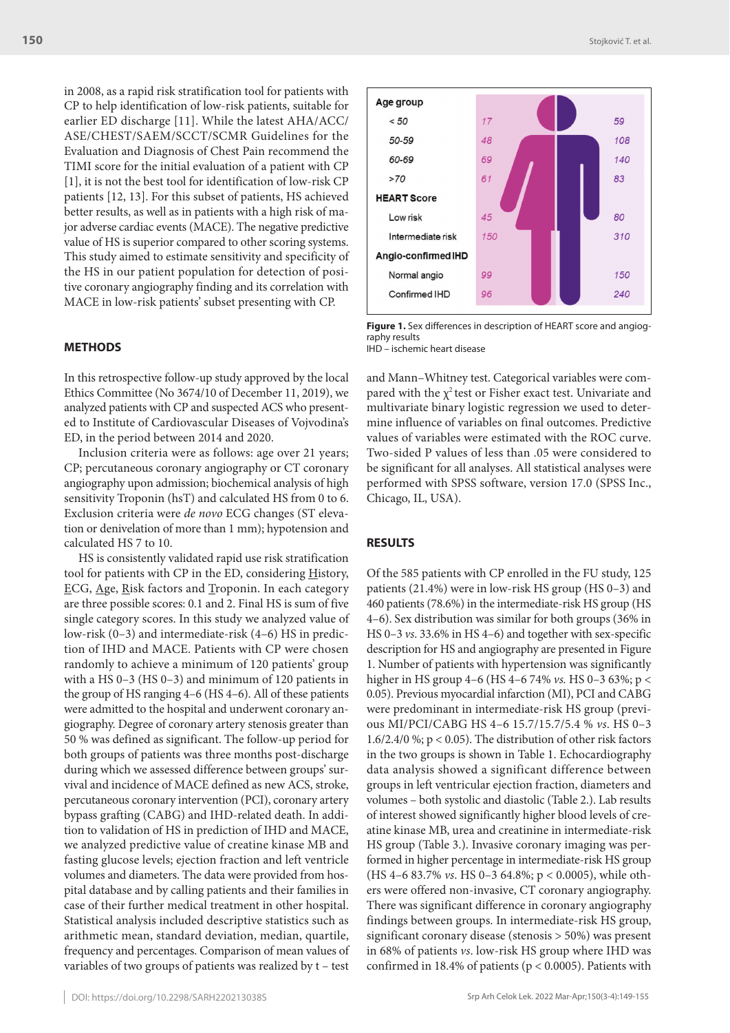in 2008, as a rapid risk stratification tool for patients with CP to help identification of low-risk patients, suitable for earlier ED discharge [11]. While the latest AHA/ACC/ ASE/CHEST/SAEM/SCCT/SCMR Guidelines for the Evaluation and Diagnosis of Chest Pain recommend the TIMI score for the initial evaluation of a patient with CP [1], it is not the best tool for identification of low-risk CP patients [12, 13]. For this subset of patients, HS achieved better results, as well as in patients with a high risk of major adverse cardiac events (MACE). The negative predictive value of HS is superior compared to other scoring systems. This study aimed to estimate sensitivity and specificity of the HS in our patient population for detection of positive coronary angiography finding and its correlation with MACE in low-risk patients' subset presenting with CP.

# **METHODS**

In this retrospective follow-up study approved by the local Ethics Committee (No 3674/10 of December 11, 2019), we analyzed patients with CP and suspected ACS who presented to Institute of Cardiovascular Diseases of Vojvodina's ED, in the period between 2014 and 2020.

Inclusion criteria were as follows: age over 21 years; CP; percutaneous coronary angiography or CT coronary angiography upon admission; biochemical analysis of high sensitivity Troponin (hsT) and calculated HS from 0 to 6. Exclusion criteria were *de novo* ECG changes (ST elevation or denivelation of more than 1 mm); hypotension and calculated HS 7 to 10.

HS is consistently validated rapid use risk stratification tool for patients with CP in the ED, considering History, ECG, Age, Risk factors and Troponin. In each category are three possible scores: 0.1 and 2. Final HS is sum of five single category scores. In this study we analyzed value of low-risk (0–3) and intermediate-risk (4–6) HS in prediction of IHD and MACE. Patients with CP were chosen randomly to achieve a minimum of 120 patients' group with a HS 0–3 (HS 0–3) and minimum of 120 patients in the group of HS ranging 4–6 (HS 4–6). All of these patients were admitted to the hospital and underwent coronary angiography. Degree of coronary artery stenosis greater than 50 % was defined as significant. The follow-up period for both groups of patients was three months post-discharge during which we assessed difference between groups' survival and incidence of MACE defined as new ACS, stroke, percutaneous coronary intervention (PCI), coronary artery bypass grafting (CABG) and IHD-related death. In addition to validation of HS in prediction of IHD and MACE, we analyzed predictive value of creatine kinase MB and fasting glucose levels; ejection fraction and left ventricle volumes and diameters. The data were provided from hospital database and by calling patients and their families in case of their further medical treatment in other hospital. Statistical analysis included descriptive statistics such as arithmetic mean, standard deviation, median, quartile, frequency and percentages. Comparison of mean values of variables of two groups of patients was realized by t – test



**Figure 1.** Sex differences in description of HEART score and angiography results IHD – ischemic heart disease

and Mann–Whitney test. Categorical variables were compared with the  $\chi^2$  test or Fisher exact test. Univariate and multivariate binary logistic regression we used to determine influence of variables on final outcomes. Predictive values of variables were estimated with the ROC curve. Two-sided P values of less than .05 were considered to be significant for all analyses. All statistical analyses were performed with SPSS software, version 17.0 (SPSS Inc., Chicago, IL, USA).

# **RESULTS**

Of the 585 patients with CP enrolled in the FU study, 125 patients (21.4%) were in low-risk HS group (HS 0–3) and 460 patients (78.6%) in the intermediate-risk HS group (HS 4–6). Sex distribution was similar for both groups (36% in HS 0–3 *vs*. 33.6% in HS 4–6) and together with sex-specific description for HS and angiography are presented in Figure 1. Number of patients with hypertension was significantly higher in HS group 4–6 (HS 4–6 74% *vs.* HS 0–3 63%; p < 0.05). Previous myocardial infarction (MI), PCI and CABG were predominant in intermediate-risk HS group (previous MI/PCI/CABG HS 4–6 15.7/15.7/5.4 % *vs*. HS 0–3 1.6/2.4/0 %; p < 0.05). The distribution of other risk factors in the two groups is shown in Table 1. Echocardiography data analysis showed a significant difference between groups in left ventricular ejection fraction, diameters and volumes – both systolic and diastolic (Table 2.). Lab results of interest showed significantly higher blood levels of creatine kinase MB, urea and creatinine in intermediate-risk HS group (Table 3.). Invasive coronary imaging was performed in higher percentage in intermediate-risk HS group (HS 4–6 83.7% *vs*. HS 0–3 64.8%; p < 0.0005), while others were offered non-invasive, CT coronary angiography. There was significant difference in coronary angiography findings between groups. In intermediate-risk HS group, significant coronary disease (stenosis > 50%) was present in 68% of patients *vs*. low-risk HS group where IHD was confirmed in 18.4% of patients (p < 0.0005). Patients with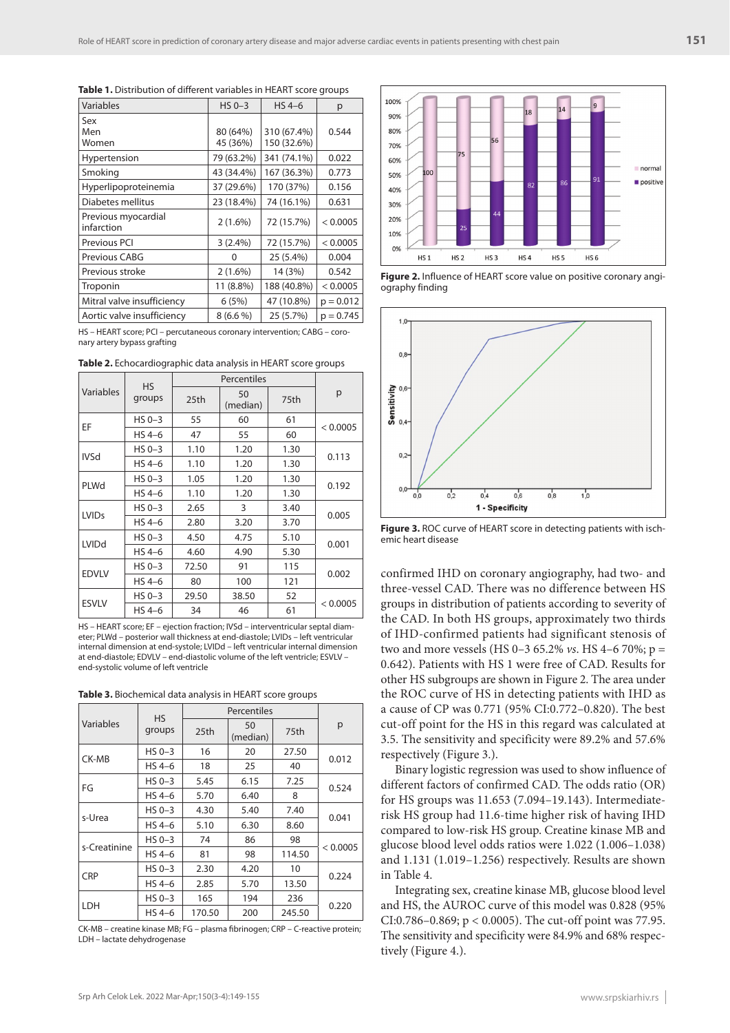| Variables                         | $HS 0-3$               | $HS 4-6$                   | р           |
|-----------------------------------|------------------------|----------------------------|-------------|
| Sex<br>Men                        | 80 (64%)               | 310 (67.4%)                | 0.544       |
| Women<br>Hypertension             | 45 (36%)<br>79 (63.2%) | 150 (32.6%)<br>341 (74.1%) | 0.022       |
| Smoking                           | 43 (34.4%)             | 167 (36.3%)                | 0.773       |
| Hyperlipoproteinemia              | 37 (29.6%)             | 170 (37%)                  | 0.156       |
| Diabetes mellitus                 | 23 (18.4%)             | 74 (16.1%)                 | 0.631       |
| Previous myocardial<br>infarction | 2(1.6%)                | 72 (15.7%)                 | < 0.0005    |
| Previous PCI                      | 3(2.4%)                | 72 (15.7%)                 | < 0.0005    |
| Previous CABG                     | O                      | 25 (5.4%)                  | 0.004       |
| Previous stroke                   | $2(1.6\%)$             | 14 (3%)                    | 0.542       |
| Troponin                          | 11 (8.8%)              | 188 (40.8%)                | < 0.0005    |
| Mitral valve insufficiency        | 6(5%)                  | 47 (10.8%)                 | $p = 0.012$ |
| Aortic valve insufficiency        | $8(6.6\%)$             | 25 (5.7%)                  | $p = 0.745$ |

Table 1. Distribution of different variables in HEART score groups

HS – HEART score; PCI – percutaneous coronary intervention; CABG – coronary artery bypass grafting

**Table 2.** Echocardiographic data analysis in HEART score groups

|                         | <b>HS</b> |                  |                |      |          |
|-------------------------|-----------|------------------|----------------|------|----------|
| Variables               | groups    | 25 <sub>th</sub> | 50<br>(median) | 75th | p        |
| EF                      | $HS 0-3$  | 55               | 60             | 61   |          |
|                         | $HS 4-6$  | 47               | 55             | 60   | < 0.0005 |
| <b>IVSd</b>             | $HS 0-3$  | 1.10             | 1.20           | 1.30 |          |
|                         | $HS 4-6$  | 1.10             | 1.20           | 1.30 | 0.113    |
| PLWd                    | $HS 0-3$  | 1.05             | 1.20           | 1.30 |          |
|                         | $HS 4-6$  | 1.10             | 1.20           | 1.30 | 0.192    |
| <b>LVID<sub>S</sub></b> | $HS 0-3$  | 2.65             | 3              | 3.40 | 0.005    |
|                         | $HS 4-6$  | 2.80             | 3.20           | 3.70 |          |
| <b>LVIDd</b>            | $HS 0-3$  | 4.50             | 4.75           | 5.10 |          |
|                         | $HS 4-6$  | 4.60             | 4.90           | 5.30 | 0.001    |
| <b>EDVLV</b>            | $HS 0-3$  | 72.50            | 91             | 115  |          |
|                         | $HS 4-6$  | 80               | 100            | 121  | 0.002    |
| <b>ESVLV</b>            | $HS 0-3$  | 29.50            | 38.50          | 52   |          |
|                         | $HS 4-6$  | 34               | 46             | 61   | < 0.0005 |

HS – HEART score; EF – ejection fraction; IVSd – interventricular septal diameter; PLWd – posterior wall thickness at end-diastole; LVIDs – left ventricular internal dimension at end-systole; LVIDd – left ventricular internal dimension at end-diastole; EDVLV – end-diastolic volume of the left ventricle; ESVLV – end-systolic volume of left ventricle

| <b>Table 3.</b> Biochemical data analysis in HEART score groups |  |
|-----------------------------------------------------------------|--|
|-----------------------------------------------------------------|--|

| Variables    | <b>HS</b><br>groups | 25th   | 50<br>(median) | 75th   | р        |  |
|--------------|---------------------|--------|----------------|--------|----------|--|
| CK-MB        | $HS 0-3$            | 16     | 20             | 27.50  | 0.012    |  |
|              | $HS 4-6$            | 18     | 25             | 40     |          |  |
| FG           | $HS 0-3$            | 5.45   | 6.15           | 7.25   |          |  |
|              | $HS 4-6$            | 5.70   | 6.40           | 8      | 0.524    |  |
| s-Urea       | $HS 0-3$            | 4.30   | 5.40           | 7.40   |          |  |
|              | $HS 4-6$            | 5.10   | 6.30           | 8.60   | 0.041    |  |
| s-Creatinine | $HS 0-3$            | 74     | 86             | 98     | < 0.0005 |  |
|              | $HS 4-6$            | 81     | 98             | 114.50 |          |  |
| <b>CRP</b>   | $HS 0-3$            | 2.30   | 4.20           | 10     |          |  |
|              | $HS 4-6$            | 2.85   | 5.70           | 13.50  | 0.224    |  |
| LDH          | $HS 0-3$            | 165    | 194            | 236    |          |  |
|              | $HS 4-6$            | 170.50 | 200            | 245.50 | 0.220    |  |

CK-MB – creatine kinase MB; FG – plasma fibrinogen; CRP – C-reactive protein; LDH – lactate dehydrogenase



**Figure 2.** Influence of HEART score value on positive coronary angiography finding



**Figure 3.** ROC curve of HEART score in detecting patients with ischemic heart disease

confirmed IHD on coronary angiography, had two- and three-vessel CAD. There was no difference between HS groups in distribution of patients according to severity of the CAD. In both HS groups, approximately two thirds of IHD-confirmed patients had significant stenosis of two and more vessels (HS 0–3 65.2% *vs*. HS 4–6 70%; p = 0.642). Patients with HS 1 were free of CAD. Results for other HS subgroups are shown in Figure 2. The area under the ROC curve of HS in detecting patients with IHD as a cause of CP was 0.771 (95% CI:0.772–0.820). The best cut-off point for the HS in this regard was calculated at 3.5. The sensitivity and specificity were 89.2% and 57.6% respectively (Figure 3.).

Binary logistic regression was used to show influence of different factors of confirmed CAD. The odds ratio (OR) for HS groups was 11.653 (7.094–19.143). Intermediaterisk HS group had 11.6-time higher risk of having IHD compared to low-risk HS group. Creatine kinase MB and glucose blood level odds ratios were 1.022 (1.006–1.038) and 1.131 (1.019–1.256) respectively. Results are shown in Table 4.

Integrating sex, creatine kinase MB, glucose blood level and HS, the AUROC curve of this model was 0.828 (95% CI:0.786–0.869; p < 0.0005). The cut-off point was 77.95. The sensitivity and specificity were 84.9% and 68% respectively (Figure 4.).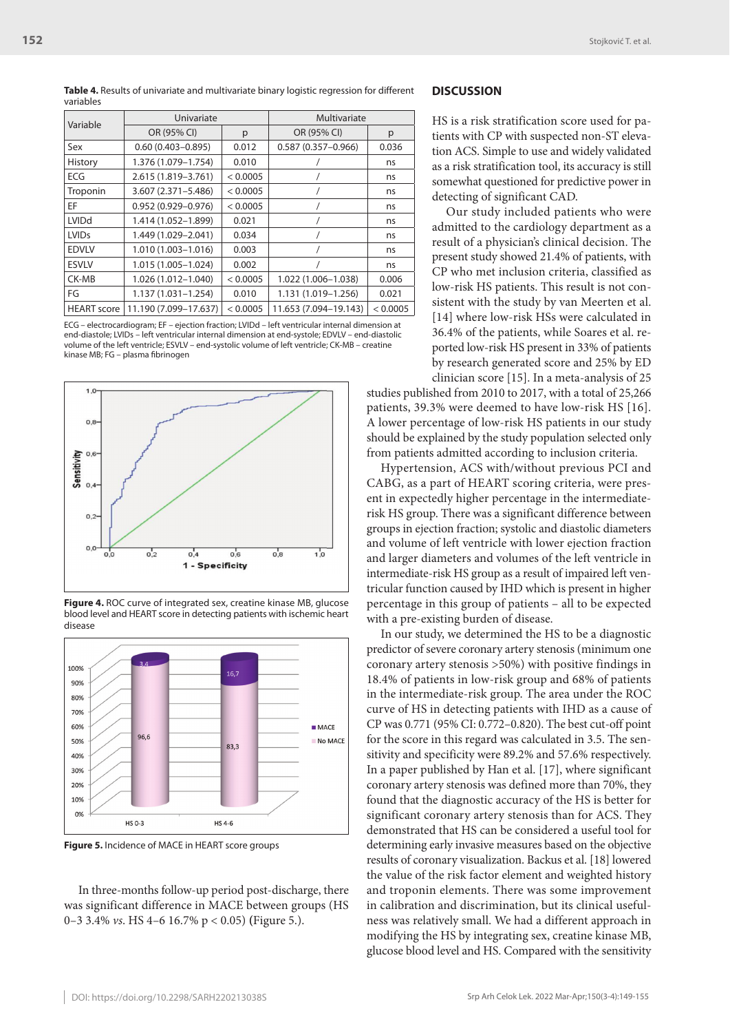**Table 4.** Results of univariate and multivariate binary logistic regression for different variables

| Variable           | Univariate             |          | Multivariate           |          |  |
|--------------------|------------------------|----------|------------------------|----------|--|
|                    | OR (95% CI)            | p        | OR (95% CI)            | p        |  |
| Sex                | $0.60(0.403 - 0.895)$  | 0.012    | $0.587(0.357 - 0.966)$ | 0.036    |  |
| History            | 1.376 (1.079-1.754)    | 0.010    |                        | ns       |  |
| <b>ECG</b>         | 2.615 (1.819 - 3.761)  | < 0.0005 |                        | ns       |  |
| Troponin           | $3.607(2.371 - 5.486)$ | < 0.0005 |                        | ns       |  |
| EF                 | $0.952(0.929 - 0.976)$ | < 0.0005 |                        | ns       |  |
| <b>LVIDd</b>       | 1.414 (1.052-1.899)    | 0.021    |                        | ns       |  |
| <b>LVIDs</b>       | 1.449 (1.029-2.041)    | 0.034    |                        | ns       |  |
| <b>EDVLV</b>       | 1.010 (1.003-1.016)    | 0.003    |                        | ns       |  |
| <b>ESVLV</b>       | 1.015 (1.005-1.024)    | 0.002    |                        | ns       |  |
| CK-MB              | 1.026 (1.012-1.040)    | < 0.0005 | 1.022 (1.006-1.038)    | 0.006    |  |
| FG                 | $1.137(1.031 - 1.254)$ | 0.010    | 1.131 (1.019-1.256)    | 0.021    |  |
| <b>HEART</b> score | 11.190 (7.099-17.637)  | < 0.0005 | 11.653 (7.094-19.143)  | < 0.0005 |  |

ECG – electrocardiogram; EF – ejection fraction; LVIDd – left ventricular internal dimension at end-diastole; LVIDs – left ventricular internal dimension at end-systole; EDVLV – end-diastolic volume of the left ventricle; ESVLV – end-systolic volume of left ventricle; CK-MB – creatine kinase MB; FG – plasma fibrinogen



**Figure 4.** ROC curve of integrated sex, creatine kinase MB, glucose blood level and HEART score in detecting patients with ischemic heart disease



**Figure 5.** Incidence of MACE in HEART score groups

In three-months follow-up period post-discharge, there was significant difference in MACE between groups (HS 0–3 3.4% *vs*. HS 4–6 16.7% p < 0.05) **(**Figure 5.).

#### **DISCUSSION**

HS is a risk stratification score used for patients with CP with suspected non-ST elevation ACS. Simple to use and widely validated as a risk stratification tool, its accuracy is still somewhat questioned for predictive power in detecting of significant CAD.

Our study included patients who were admitted to the cardiology department as a result of a physician's clinical decision. The present study showed 21.4% of patients, with CP who met inclusion criteria, classified as low-risk HS patients. This result is not consistent with the study by van Meerten et al. [14] where low-risk HSs were calculated in 36.4% of the patients, while Soares et al. reported low-risk HS present in 33% of patients by research generated score and 25% by ED clinician score [15]. In a meta-analysis of 25

studies published from 2010 to 2017, with a total of 25,266 patients, 39.3% were deemed to have low-risk HS [16]. A lower percentage of low-risk HS patients in our study should be explained by the study population selected only from patients admitted according to inclusion criteria.

Hypertension, ACS with/without previous PCI and CABG, as a part of HEART scoring criteria, were present in expectedly higher percentage in the intermediaterisk HS group. There was a significant difference between groups in ejection fraction; systolic and diastolic diameters and volume of left ventricle with lower ejection fraction and larger diameters and volumes of the left ventricle in intermediate-risk HS group as a result of impaired left ventricular function caused by IHD which is present in higher percentage in this group of patients – all to be expected with a pre-existing burden of disease.

In our study, we determined the HS to be a diagnostic predictor of severe coronary artery stenosis (minimum one coronary artery stenosis >50%) with positive findings in 18.4% of patients in low-risk group and 68% of patients in the intermediate-risk group. The area under the ROC curve of HS in detecting patients with IHD as a cause of CP was 0.771 (95% CI: 0.772–0.820). The best cut-off point for the score in this regard was calculated in 3.5. The sensitivity and specificity were 89.2% and 57.6% respectively. In a paper published by Han et al. [17], where significant coronary artery stenosis was defined more than 70%, they found that the diagnostic accuracy of the HS is better for significant coronary artery stenosis than for ACS. They demonstrated that HS can be considered a useful tool for determining early invasive measures based on the objective results of coronary visualization. Backus et al. [18] lowered the value of the risk factor element and weighted history and troponin elements. There was some improvement in calibration and discrimination, but its clinical usefulness was relatively small. We had a different approach in modifying the HS by integrating sex, creatine kinase MB, glucose blood level and HS. Compared with the sensitivity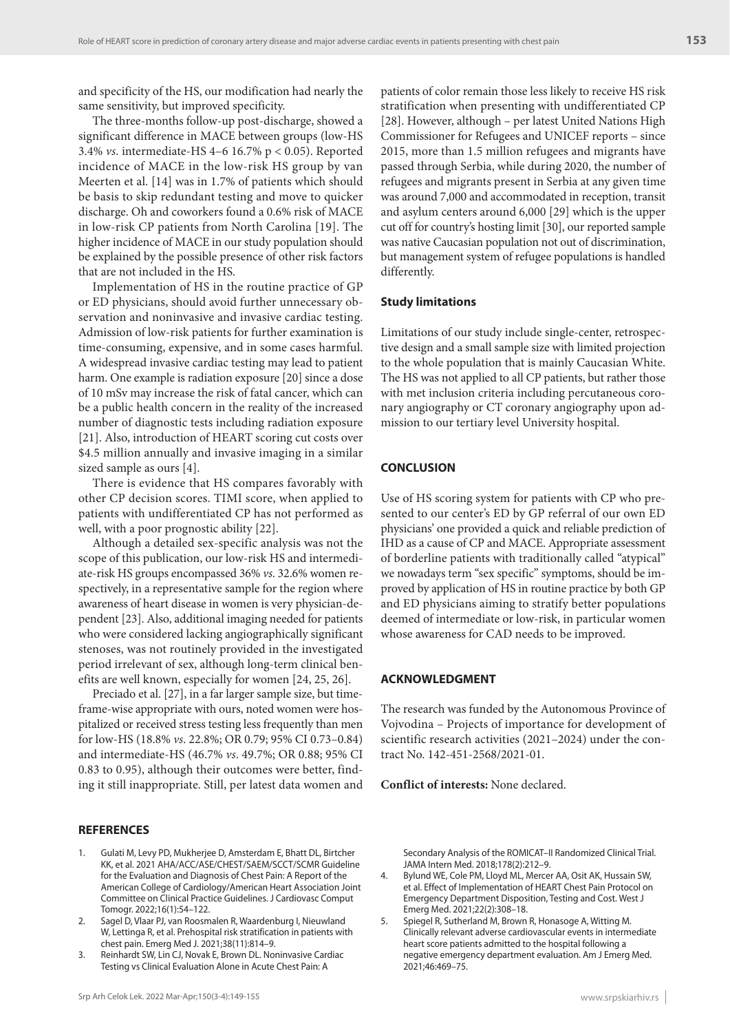and specificity of the HS, our modification had nearly the same sensitivity, but improved specificity.

The three-months follow-up post-discharge, showed a significant difference in MACE between groups (low-HS 3.4% *vs*. intermediate-HS 4–6 16.7% p < 0.05). Reported incidence of MACE in the low-risk HS group by van Meerten et al. [14] was in 1.7% of patients which should be basis to skip redundant testing and move to quicker discharge. Oh and coworkers found a 0.6% risk of MACE in low-risk CP patients from North Carolina [19]. The higher incidence of MACE in our study population should be explained by the possible presence of other risk factors that are not included in the HS.

Implementation of HS in the routine practice of GP or ED physicians, should avoid further unnecessary observation and noninvasive and invasive cardiac testing. Admission of low-risk patients for further examination is time-consuming, expensive, and in some cases harmful. A widespread invasive cardiac testing may lead to patient harm. One example is radiation exposure [20] since a dose of 10 mSv may increase the risk of fatal cancer, which can be a public health concern in the reality of the increased number of diagnostic tests including radiation exposure [21]. Also, introduction of HEART scoring cut costs over \$4.5 million annually and invasive imaging in a similar sized sample as ours [4].

There is evidence that HS compares favorably with other CP decision scores. TIMI score, when applied to patients with undifferentiated CP has not performed as well, with a poor prognostic ability [22].

Although a detailed sex-specific analysis was not the scope of this publication, our low-risk HS and intermediate-risk HS groups encompassed 36% *vs*. 32.6% women respectively, in a representative sample for the region where awareness of heart disease in women is very physician-dependent [23]. Also, additional imaging needed for patients who were considered lacking angiographically significant stenoses, was not routinely provided in the investigated period irrelevant of sex, although long-term clinical benefits are well known, especially for women [24, 25, 26].

Preciado et al. [27], in a far larger sample size, but timeframe-wise appropriate with ours, noted women were hospitalized or received stress testing less frequently than men for low-HS (18.8% *vs*. 22.8%; OR 0.79; 95% CI 0.73–0.84) and intermediate-HS (46.7% *vs*. 49.7%; OR 0.88; 95% CI 0.83 to 0.95), although their outcomes were better, finding it still inappropriate. Still, per latest data women and

# **REFERENCES**

- 1. Gulati M, Levy PD, Mukherjee D, Amsterdam E, Bhatt DL, Birtcher KK, et al. 2021 AHA/ACC/ASE/CHEST/SAEM/SCCT/SCMR Guideline for the Evaluation and Diagnosis of Chest Pain: A Report of the American College of Cardiology/American Heart Association Joint Committee on Clinical Practice Guidelines. J Cardiovasc Comput Tomogr. 2022;16(1):54–122.
- 2. Sagel D, Vlaar PJ, van Roosmalen R, Waardenburg I, Nieuwland W, Lettinga R, et al. Prehospital risk stratification in patients with chest pain. Emerg Med J. 2021;38(11):814–9.
- 3. Reinhardt SW, Lin CJ, Novak E, Brown DL. Noninvasive Cardiac Testing vs Clinical Evaluation Alone in Acute Chest Pain: A

patients of color remain those less likely to receive HS risk stratification when presenting with undifferentiated CP [28]. However, although – per latest United Nations High Commissioner for Refugees and UNICEF reports – since 2015, more than 1.5 million refugees and migrants have passed through Serbia, while during 2020, the number of refugees and migrants present in Serbia at any given time was around 7,000 and accommodated in reception, transit and asylum centers around 6,000 [29] which is the upper cut off for country's hosting limit [30], our reported sample was native Caucasian population not out of discrimination, but management system of refugee populations is handled differently.

#### **Study limitations**

Limitations of our study include single-center, retrospective design and a small sample size with limited projection to the whole population that is mainly Caucasian White. The HS was not applied to all CP patients, but rather those with met inclusion criteria including percutaneous coronary angiography or CT coronary angiography upon admission to our tertiary level University hospital.

#### **CONCLUSION**

Use of HS scoring system for patients with CP who presented to our center's ED by GP referral of our own ED physicians' one provided a quick and reliable prediction of IHD as a cause of CP and MACE. Appropriate assessment of borderline patients with traditionally called "atypical" we nowadays term "sex specific" symptoms, should be improved by application of HS in routine practice by both GP and ED physicians aiming to stratify better populations deemed of intermediate or low-risk, in particular women whose awareness for CAD needs to be improved.

# **ACKNOWLEDGMENT**

The research was funded by the Autonomous Province of Vojvodina – Projects of importance for development of scientific research activities (2021–2024) under the contract No. 142-451-2568/2021-01.

**Conflict of interests:** None declared.

Secondary Analysis of the ROMICAT–II Randomized Clinical Trial. JAMA Intern Med. 2018;178(2):212–9.

- 4. Bylund WE, Cole PM, Lloyd ML, Mercer AA, Osit AK, Hussain SW, et al. Effect of Implementation of HEART Chest Pain Protocol on Emergency Department Disposition, Testing and Cost. West J Emerg Med. 2021;22(2):308–18.
- 5. Spiegel R, Sutherland M, Brown R, Honasoge A, Witting M. Clinically relevant adverse cardiovascular events in intermediate heart score patients admitted to the hospital following a negative emergency department evaluation. Am J Emerg Med. 2021;46:469–75.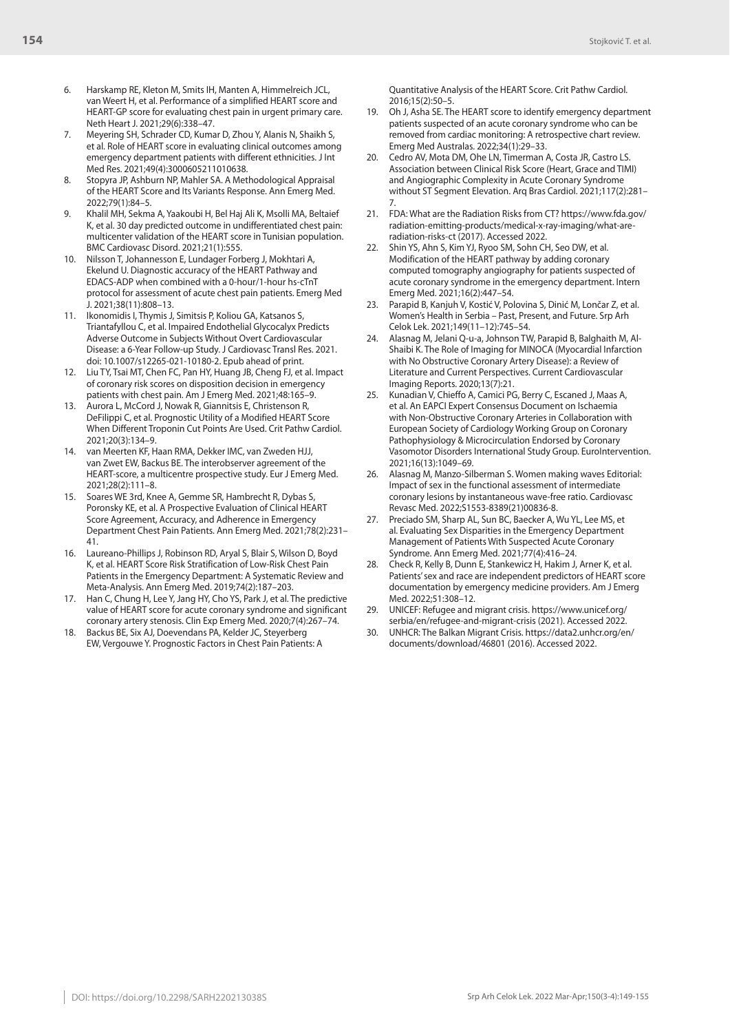- 6. Harskamp RE, Kleton M, Smits IH, Manten A, Himmelreich JCL, van Weert H, et al. Performance of a simplified HEART score and HEART-GP score for evaluating chest pain in urgent primary care. Neth Heart J. 2021;29(6):338–47.
- 7. Meyering SH, Schrader CD, Kumar D, Zhou Y, Alanis N, Shaikh S, et al. Role of HEART score in evaluating clinical outcomes among emergency department patients with different ethnicities. J Int Med Res. 2021;49(4):3000605211010638.
- 8. Stopyra JP, Ashburn NP, Mahler SA. A Methodological Appraisal of the HEART Score and Its Variants Response. Ann Emerg Med. 2022;79(1):84–5.
- 9. Khalil MH, Sekma A, Yaakoubi H, Bel Haj Ali K, Msolli MA, Beltaief K, et al. 30 day predicted outcome in undifferentiated chest pain: multicenter validation of the HEART score in Tunisian population. BMC Cardiovasc Disord. 2021;21(1):555.
- 10. Nilsson T, Johannesson E, Lundager Forberg J, Mokhtari A, Ekelund U. Diagnostic accuracy of the HEART Pathway and EDACS-ADP when combined with a 0-hour/1-hour hs-cTnT protocol for assessment of acute chest pain patients. Emerg Med J. 2021;38(11):808–13.
- 11. Ikonomidis I, Thymis J, Simitsis P, Koliou GA, Katsanos S, Triantafyllou C, et al. Impaired Endothelial Glycocalyx Predicts Adverse Outcome in Subjects Without Overt Cardiovascular Disease: a 6-Year Follow-up Study. J Cardiovasc Transl Res. 2021. doi: 10.1007/s12265-021-10180-2. Epub ahead of print.
- 12. Liu TY, Tsai MT, Chen FC, Pan HY, Huang JB, Cheng FJ, et al. Impact of coronary risk scores on disposition decision in emergency patients with chest pain. Am J Emerg Med. 2021;48:165–9.
- 13. Aurora L, McCord J, Nowak R, Giannitsis E, Christenson R, DeFilippi C, et al. Prognostic Utility of a Modified HEART Score When Different Troponin Cut Points Are Used. Crit Pathw Cardiol. 2021;20(3):134–9.
- 14. van Meerten KF, Haan RMA, Dekker IMC, van Zweden HJJ, van Zwet EW, Backus BE. The interobserver agreement of the HEART-score, a multicentre prospective study. Eur J Emerg Med. 2021;28(2):111–8.
- 15. Soares WE 3rd, Knee A, Gemme SR, Hambrecht R, Dybas S, Poronsky KE, et al. A Prospective Evaluation of Clinical HEART Score Agreement, Accuracy, and Adherence in Emergency Department Chest Pain Patients. Ann Emerg Med. 2021;78(2):231– 41.
- 16. Laureano-Phillips J, Robinson RD, Aryal S, Blair S, Wilson D, Boyd K, et al. HEART Score Risk Stratification of Low-Risk Chest Pain Patients in the Emergency Department: A Systematic Review and Meta-Analysis. Ann Emerg Med. 2019;74(2):187–203.
- 17. Han C, Chung H, Lee Y, Jang HY, Cho YS, Park J, et al. The predictive value of HEART score for acute coronary syndrome and significant coronary artery stenosis. Clin Exp Emerg Med. 2020;7(4):267–74.
- 18. Backus BE, Six AJ, Doevendans PA, Kelder JC, Steyerberg EW, Vergouwe Y. Prognostic Factors in Chest Pain Patients: A

Quantitative Analysis of the HEART Score. Crit Pathw Cardiol. 2016;15(2):50–5.

- 19. Oh J, Asha SE. The HEART score to identify emergency department patients suspected of an acute coronary syndrome who can be removed from cardiac monitoring: A retrospective chart review. Emerg Med Australas. 2022;34(1):29–33.
- 20. Cedro AV, Mota DM, Ohe LN, Timerman A, Costa JR, Castro LS. Association between Clinical Risk Score (Heart, Grace and TIMI) and Angiographic Complexity in Acute Coronary Syndrome without ST Segment Elevation. Arq Bras Cardiol. 2021;117(2):281– 7.
- 21. FDA: What are the Radiation Risks from CT? https://www.fda.gov/ radiation-emitting-products/medical-x-ray-imaging/what-areradiation-risks-ct (2017). Accessed 2022.
- 22. Shin YS, Ahn S, Kim YJ, Ryoo SM, Sohn CH, Seo DW, et al. Modification of the HEART pathway by adding coronary computed tomography angiography for patients suspected of acute coronary syndrome in the emergency department. Intern Emerg Med. 2021;16(2):447–54.
- 23. Parapid B, Kanjuh V, Kostić V, Polovina S, Dinić M, Lončar Z, et al. Women's Health in Serbia – Past, Present, and Future. Srp Arh Celok Lek. 2021;149(11–12):745–54.
- 24. Alasnag M, Jelani Q-u-a, Johnson TW, Parapid B, Balghaith M, Al-Shaibi K. The Role of Imaging for MINOCA (Myocardial Infarction with No Obstructive Coronary Artery Disease): a Review of Literature and Current Perspectives. Current Cardiovascular Imaging Reports. 2020;13(7):21.
- 25. Kunadian V, Chieffo A, Camici PG, Berry C, Escaned J, Maas A, et al. An EAPCI Expert Consensus Document on Ischaemia with Non-Obstructive Coronary Arteries in Collaboration with European Society of Cardiology Working Group on Coronary Pathophysiology & Microcirculation Endorsed by Coronary Vasomotor Disorders International Study Group. EuroIntervention. 2021;16(13):1049–69.
- 26. Alasnag M, Manzo-Silberman S. Women making waves Editorial: Impact of sex in the functional assessment of intermediate coronary lesions by instantaneous wave-free ratio. Cardiovasc Revasc Med. 2022;S1553-8389(21)00836-8.
- Preciado SM, Sharp AL, Sun BC, Baecker A, Wu YL, Lee MS, et al. Evaluating Sex Disparities in the Emergency Department Management of Patients With Suspected Acute Coronary Syndrome. Ann Emerg Med. 2021;77(4):416–24.
- Check R, Kelly B, Dunn E, Stankewicz H, Hakim J, Arner K, et al. Patients' sex and race are independent predictors of HEART score documentation by emergency medicine providers. Am J Emerg Med. 2022;51:308–12.
- 29. UNICEF: Refugee and migrant crisis. https://www.unicef.org/ serbia/en/refugee-and-migrant-crisis (2021). Accessed 2022.
- 30. UNHCR: The Balkan Migrant Crisis. https://data2.unhcr.org/en/ documents/download/46801 (2016). Accessed 2022.